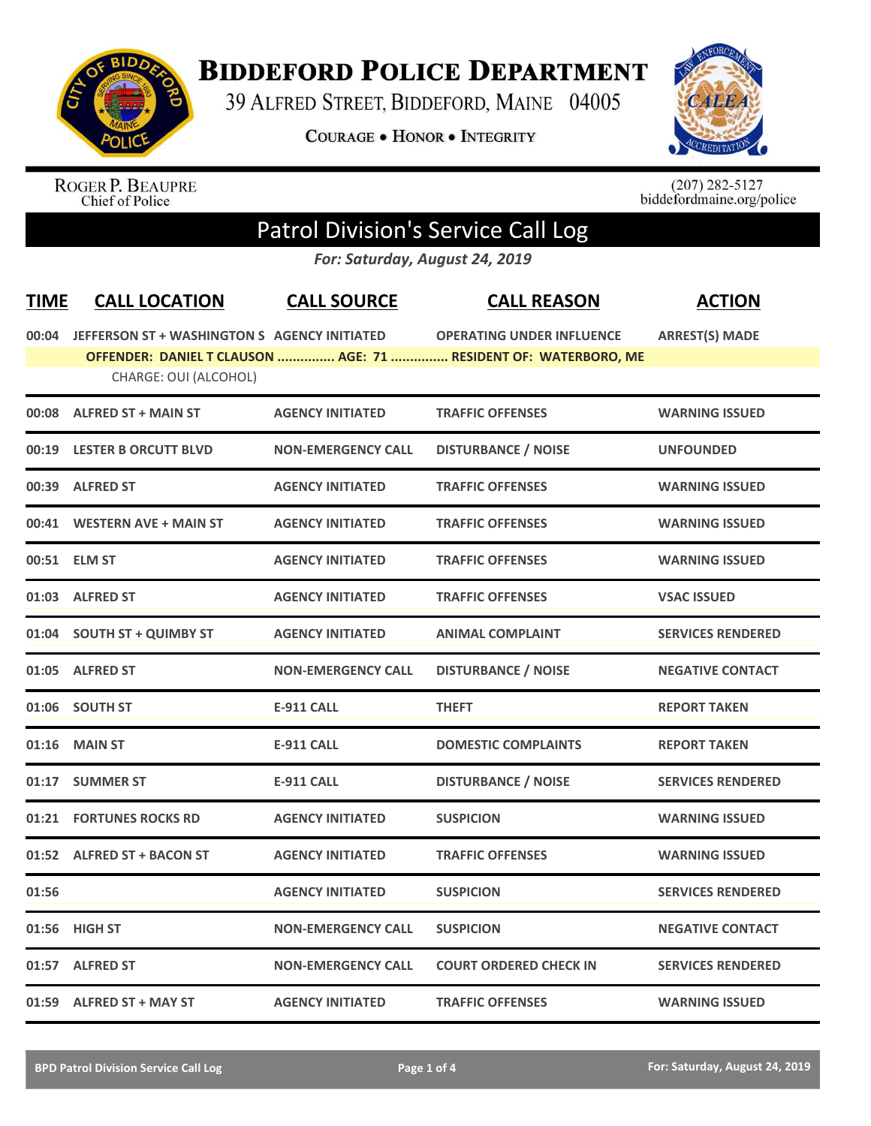

## **BIDDEFORD POLICE DEPARTMENT**

39 ALFRED STREET, BIDDEFORD, MAINE 04005

**COURAGE . HONOR . INTEGRITY** 



ROGER P. BEAUPRE<br>Chief of Police

 $(207)$  282-5127<br>biddefordmaine.org/police

## Patrol Division's Service Call Log

*For: Saturday, August 24, 2019*

| <b>TIME</b> | <b>CALL LOCATION</b>                               | <b>CALL SOURCE</b>        | <b>CALL REASON</b>                                              | <b>ACTION</b>            |
|-------------|----------------------------------------------------|---------------------------|-----------------------------------------------------------------|--------------------------|
|             | 00:04 JEFFERSON ST + WASHINGTON S AGENCY INITIATED |                           | <b>OPERATING UNDER INFLUENCE</b>                                | <b>ARREST(S) MADE</b>    |
|             | CHARGE: OUI (ALCOHOL)                              |                           | OFFENDER: DANIEL T CLAUSON  AGE: 71  RESIDENT OF: WATERBORO, ME |                          |
|             | 00:08 ALFRED ST + MAIN ST                          | <b>AGENCY INITIATED</b>   | <b>TRAFFIC OFFENSES</b>                                         | <b>WARNING ISSUED</b>    |
|             | 00:19 LESTER B ORCUTT BLVD                         | <b>NON-EMERGENCY CALL</b> | <b>DISTURBANCE / NOISE</b>                                      | <b>UNFOUNDED</b>         |
|             | 00:39 ALFRED ST                                    | <b>AGENCY INITIATED</b>   | <b>TRAFFIC OFFENSES</b>                                         | <b>WARNING ISSUED</b>    |
|             | 00:41 WESTERN AVE + MAIN ST                        | <b>AGENCY INITIATED</b>   | <b>TRAFFIC OFFENSES</b>                                         | <b>WARNING ISSUED</b>    |
|             | 00:51 ELM ST                                       | <b>AGENCY INITIATED</b>   | <b>TRAFFIC OFFENSES</b>                                         | <b>WARNING ISSUED</b>    |
|             | 01:03 ALFRED ST                                    | <b>AGENCY INITIATED</b>   | <b>TRAFFIC OFFENSES</b>                                         | <b>VSAC ISSUED</b>       |
| 01:04       | <b>SOUTH ST + QUIMBY ST</b>                        | <b>AGENCY INITIATED</b>   | <b>ANIMAL COMPLAINT</b>                                         | <b>SERVICES RENDERED</b> |
|             | 01:05 ALFRED ST                                    | <b>NON-EMERGENCY CALL</b> | <b>DISTURBANCE / NOISE</b>                                      | <b>NEGATIVE CONTACT</b>  |
|             | 01:06 SOUTH ST                                     | <b>E-911 CALL</b>         | <b>THEFT</b>                                                    | <b>REPORT TAKEN</b>      |
| 01:16       | <b>MAIN ST</b>                                     | <b>E-911 CALL</b>         | <b>DOMESTIC COMPLAINTS</b>                                      | <b>REPORT TAKEN</b>      |
| 01:17       | <b>SUMMER ST</b>                                   | <b>E-911 CALL</b>         | <b>DISTURBANCE / NOISE</b>                                      | <b>SERVICES RENDERED</b> |
|             | 01:21 FORTUNES ROCKS RD                            | <b>AGENCY INITIATED</b>   | <b>SUSPICION</b>                                                | <b>WARNING ISSUED</b>    |
| 01:52       | <b>ALFRED ST + BACON ST</b>                        | <b>AGENCY INITIATED</b>   | <b>TRAFFIC OFFENSES</b>                                         | <b>WARNING ISSUED</b>    |
| 01:56       |                                                    | <b>AGENCY INITIATED</b>   | <b>SUSPICION</b>                                                | <b>SERVICES RENDERED</b> |
|             | 01:56 HIGH ST                                      | <b>NON-EMERGENCY CALL</b> | <b>SUSPICION</b>                                                | <b>NEGATIVE CONTACT</b>  |
|             | 01:57 ALFRED ST                                    | <b>NON-EMERGENCY CALL</b> | <b>COURT ORDERED CHECK IN</b>                                   | <b>SERVICES RENDERED</b> |
|             | 01:59 ALFRED ST + MAY ST                           | <b>AGENCY INITIATED</b>   | <b>TRAFFIC OFFENSES</b>                                         | <b>WARNING ISSUED</b>    |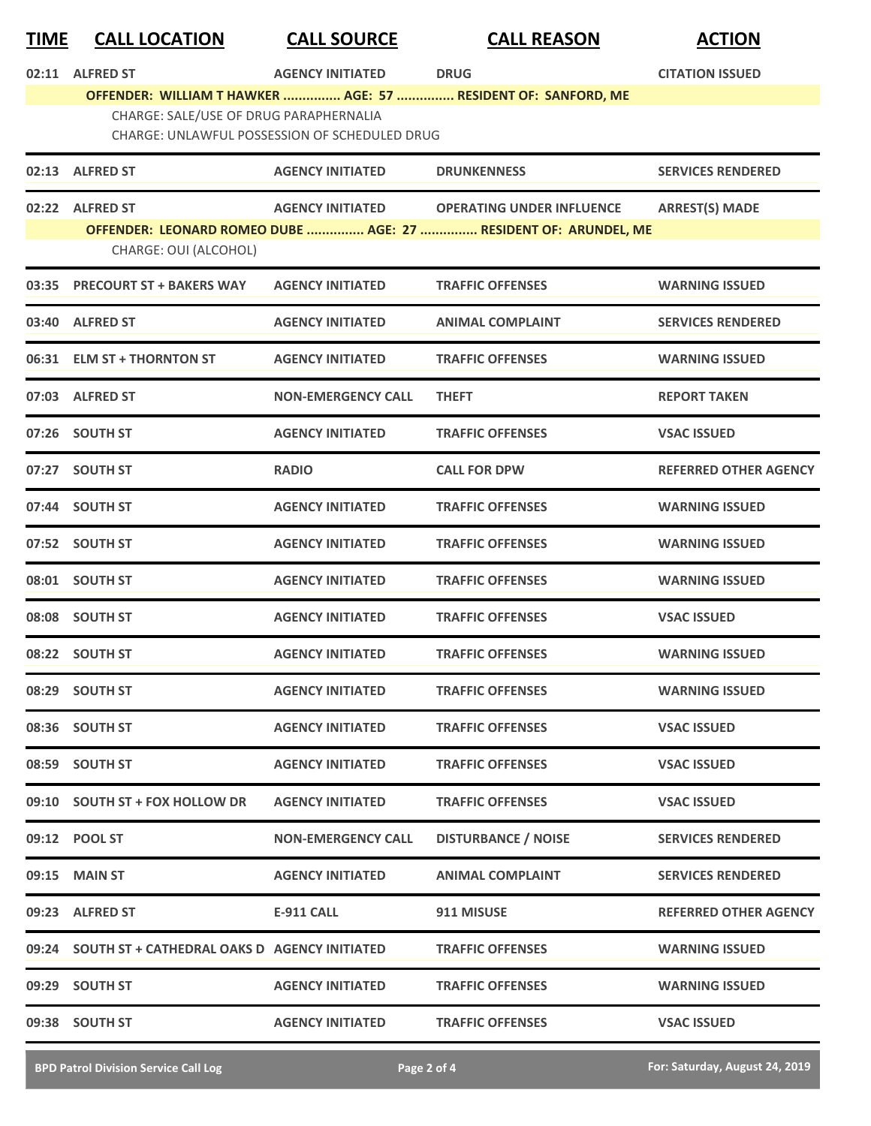| <u>TIME</u> | <b>CALL LOCATION</b>                     | <b>CALL SOURCE</b>                            | <b>CALL REASON</b>                                                                                  | <b>ACTION</b>                |
|-------------|------------------------------------------|-----------------------------------------------|-----------------------------------------------------------------------------------------------------|------------------------------|
|             | 02:11 ALFRED ST                          | <b>AGENCY INITIATED</b>                       | <b>DRUG</b>                                                                                         | <b>CITATION ISSUED</b>       |
|             | CHARGE: SALE/USE OF DRUG PARAPHERNALIA   | CHARGE: UNLAWFUL POSSESSION OF SCHEDULED DRUG | OFFENDER: WILLIAM T HAWKER  AGE: 57  RESIDENT OF: SANFORD, ME                                       |                              |
| 02:13       | <b>ALFRED ST</b>                         | <b>AGENCY INITIATED</b>                       | <b>DRUNKENNESS</b>                                                                                  | <b>SERVICES RENDERED</b>     |
|             | 02:22 ALFRED ST<br>CHARGE: OUI (ALCOHOL) | <b>AGENCY INITIATED</b>                       | <b>OPERATING UNDER INFLUENCE</b><br>OFFENDER: LEONARD ROMEO DUBE  AGE: 27  RESIDENT OF: ARUNDEL, ME | <b>ARREST(S) MADE</b>        |
| 03:35       | <b>PRECOURT ST + BAKERS WAY</b>          | <b>AGENCY INITIATED</b>                       | <b>TRAFFIC OFFENSES</b>                                                                             | <b>WARNING ISSUED</b>        |
| 03:40       | <b>ALFRED ST</b>                         | <b>AGENCY INITIATED</b>                       | <b>ANIMAL COMPLAINT</b>                                                                             | <b>SERVICES RENDERED</b>     |
|             | 06:31 ELM ST + THORNTON ST               | <b>AGENCY INITIATED</b>                       | <b>TRAFFIC OFFENSES</b>                                                                             | <b>WARNING ISSUED</b>        |
|             | 07:03 ALFRED ST                          | <b>NON-EMERGENCY CALL</b>                     | <b>THEFT</b>                                                                                        | <b>REPORT TAKEN</b>          |
|             | 07:26 SOUTH ST                           | <b>AGENCY INITIATED</b>                       | <b>TRAFFIC OFFENSES</b>                                                                             | <b>VSAC ISSUED</b>           |
| 07:27       | <b>SOUTH ST</b>                          | <b>RADIO</b>                                  | <b>CALL FOR DPW</b>                                                                                 | <b>REFERRED OTHER AGENCY</b> |
| 07:44       | <b>SOUTH ST</b>                          | <b>AGENCY INITIATED</b>                       | <b>TRAFFIC OFFENSES</b>                                                                             | <b>WARNING ISSUED</b>        |
|             | 07:52 SOUTH ST                           | <b>AGENCY INITIATED</b>                       | <b>TRAFFIC OFFENSES</b>                                                                             | <b>WARNING ISSUED</b>        |
| 08:01       | <b>SOUTH ST</b>                          | <b>AGENCY INITIATED</b>                       | <b>TRAFFIC OFFENSES</b>                                                                             | <b>WARNING ISSUED</b>        |
|             | 08:08 SOUTH ST                           | <b>AGENCY INITIATED</b>                       | <b>TRAFFIC OFFENSES</b>                                                                             | <b>VSAC ISSUED</b>           |
|             | 08:22 SOUTH ST                           | <b>AGENCY INITIATED</b>                       | <b>TRAFFIC OFFENSES</b>                                                                             | <b>WARNING ISSUED</b>        |
| 08:29       | <b>SOUTH ST</b>                          | <b>AGENCY INITIATED</b>                       | <b>TRAFFIC OFFENSES</b>                                                                             | <b>WARNING ISSUED</b>        |
|             | 08:36 SOUTH ST                           | <b>AGENCY INITIATED</b>                       | <b>TRAFFIC OFFENSES</b>                                                                             | <b>VSAC ISSUED</b>           |
|             | 08:59 SOUTH ST                           | <b>AGENCY INITIATED</b>                       | <b>TRAFFIC OFFENSES</b>                                                                             | <b>VSAC ISSUED</b>           |
|             | 09:10 SOUTH ST + FOX HOLLOW DR           | <b>AGENCY INITIATED</b>                       | <b>TRAFFIC OFFENSES</b>                                                                             | <b>VSAC ISSUED</b>           |
|             | 09:12 POOL ST                            | NON-EMERGENCY CALL                            | <b>DISTURBANCE / NOISE</b>                                                                          | <b>SERVICES RENDERED</b>     |
|             | 09:15 MAIN ST                            | <b>AGENCY INITIATED</b>                       | <b>ANIMAL COMPLAINT</b>                                                                             | <b>SERVICES RENDERED</b>     |
|             | 09:23 ALFRED ST                          | <b>E-911 CALL</b>                             | 911 MISUSE                                                                                          | <b>REFERRED OTHER AGENCY</b> |
|             |                                          |                                               | <b>TRAFFIC OFFENSES</b>                                                                             | <b>WARNING ISSUED</b>        |
|             | 09:29 SOUTH ST                           | <b>AGENCY INITIATED</b>                       | <b>TRAFFIC OFFENSES</b>                                                                             | <b>WARNING ISSUED</b>        |
|             | 09:38 SOUTH ST                           | <b>AGENCY INITIATED</b>                       | <b>TRAFFIC OFFENSES</b>                                                                             | <b>VSAC ISSUED</b>           |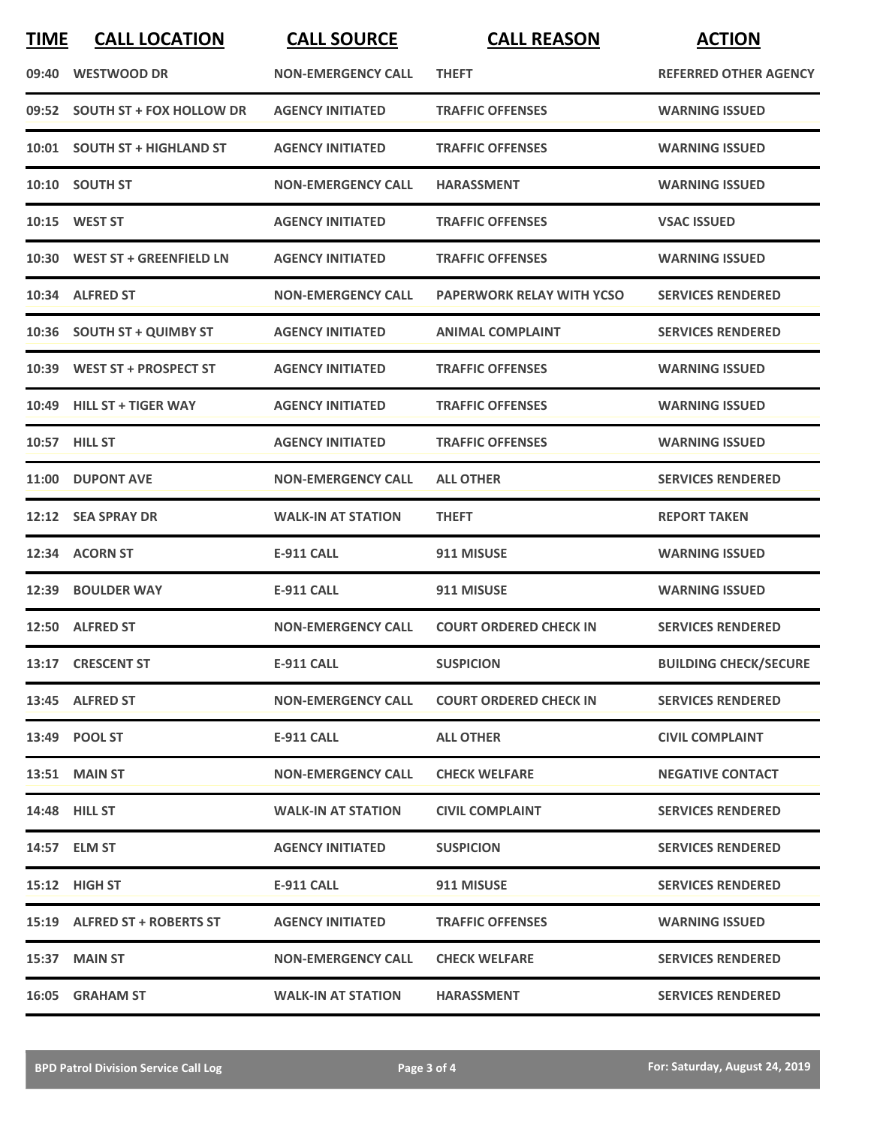| <b>TIME</b> | <b>CALL LOCATION</b>           | <b>CALL SOURCE</b>        | <b>CALL REASON</b>               | <b>ACTION</b>                |
|-------------|--------------------------------|---------------------------|----------------------------------|------------------------------|
|             | 09:40 WESTWOOD DR              | <b>NON-EMERGENCY CALL</b> | <b>THEFT</b>                     | <b>REFERRED OTHER AGENCY</b> |
|             | 09:52 SOUTH ST + FOX HOLLOW DR | <b>AGENCY INITIATED</b>   | <b>TRAFFIC OFFENSES</b>          | <b>WARNING ISSUED</b>        |
|             | 10:01 SOUTH ST + HIGHLAND ST   | <b>AGENCY INITIATED</b>   | <b>TRAFFIC OFFENSES</b>          | <b>WARNING ISSUED</b>        |
|             | 10:10 SOUTH ST                 | <b>NON-EMERGENCY CALL</b> | <b>HARASSMENT</b>                | <b>WARNING ISSUED</b>        |
|             | 10:15 WEST ST                  | <b>AGENCY INITIATED</b>   | <b>TRAFFIC OFFENSES</b>          | <b>VSAC ISSUED</b>           |
|             | 10:30 WEST ST + GREENFIELD LN  | <b>AGENCY INITIATED</b>   | <b>TRAFFIC OFFENSES</b>          | <b>WARNING ISSUED</b>        |
|             | 10:34 ALFRED ST                | <b>NON-EMERGENCY CALL</b> | <b>PAPERWORK RELAY WITH YCSO</b> | <b>SERVICES RENDERED</b>     |
|             | 10:36 SOUTH ST + QUIMBY ST     | <b>AGENCY INITIATED</b>   | <b>ANIMAL COMPLAINT</b>          | <b>SERVICES RENDERED</b>     |
|             | 10:39 WEST ST + PROSPECT ST    | <b>AGENCY INITIATED</b>   | <b>TRAFFIC OFFENSES</b>          | <b>WARNING ISSUED</b>        |
|             | 10:49 HILL ST + TIGER WAY      | <b>AGENCY INITIATED</b>   | <b>TRAFFIC OFFENSES</b>          | <b>WARNING ISSUED</b>        |
|             | 10:57 HILL ST                  | <b>AGENCY INITIATED</b>   | <b>TRAFFIC OFFENSES</b>          | <b>WARNING ISSUED</b>        |
|             | 11:00 DUPONT AVE               | <b>NON-EMERGENCY CALL</b> | <b>ALL OTHER</b>                 | <b>SERVICES RENDERED</b>     |
|             | 12:12 SEA SPRAY DR             | <b>WALK-IN AT STATION</b> | <b>THEFT</b>                     | <b>REPORT TAKEN</b>          |
|             | 12:34 ACORN ST                 | <b>E-911 CALL</b>         | 911 MISUSE                       | <b>WARNING ISSUED</b>        |
|             | 12:39 BOULDER WAY              | <b>E-911 CALL</b>         | 911 MISUSE                       | <b>WARNING ISSUED</b>        |
|             | 12:50 ALFRED ST                | <b>NON-EMERGENCY CALL</b> | <b>COURT ORDERED CHECK IN</b>    | <b>SERVICES RENDERED</b>     |
|             | 13:17 CRESCENT ST              | E-911 CALL                | <b>SUSPICION</b>                 | <b>BUILDING CHECK/SECURE</b> |
|             | 13:45 ALFRED ST                | <b>NON-EMERGENCY CALL</b> | <b>COURT ORDERED CHECK IN</b>    | <b>SERVICES RENDERED</b>     |
|             | 13:49 POOL ST                  | E-911 CALL                | <b>ALL OTHER</b>                 | <b>CIVIL COMPLAINT</b>       |
|             | 13:51 MAIN ST                  | <b>NON-EMERGENCY CALL</b> | <b>CHECK WELFARE</b>             | <b>NEGATIVE CONTACT</b>      |
|             | <b>14:48 HILL ST</b>           | <b>WALK-IN AT STATION</b> | <b>CIVIL COMPLAINT</b>           | <b>SERVICES RENDERED</b>     |
|             | 14:57 ELM ST                   | <b>AGENCY INITIATED</b>   | <b>SUSPICION</b>                 | <b>SERVICES RENDERED</b>     |
|             | <b>15:12 HIGH ST</b>           | E-911 CALL                | 911 MISUSE                       | <b>SERVICES RENDERED</b>     |
|             | 15:19 ALFRED ST + ROBERTS ST   | <b>AGENCY INITIATED</b>   | <b>TRAFFIC OFFENSES</b>          | <b>WARNING ISSUED</b>        |
|             | 15:37 MAIN ST                  | <b>NON-EMERGENCY CALL</b> | <b>CHECK WELFARE</b>             | <b>SERVICES RENDERED</b>     |
|             | 16:05 GRAHAM ST                | <b>WALK-IN AT STATION</b> | <b>HARASSMENT</b>                | <b>SERVICES RENDERED</b>     |